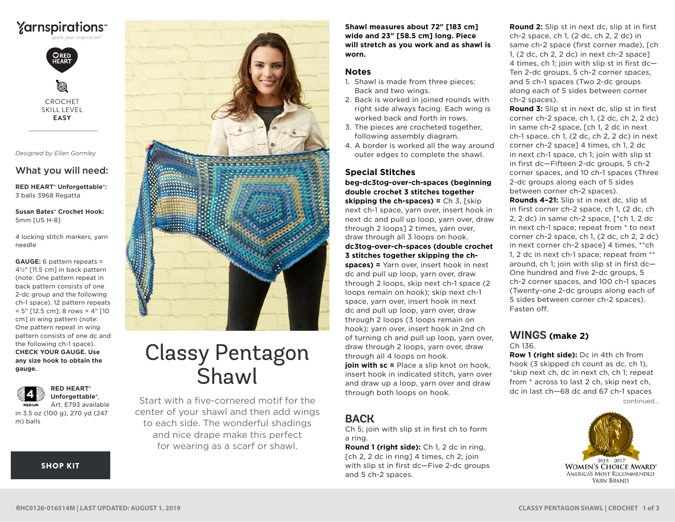

CROCHET SKILL LEVEL **EASY**

*Designed by Ellen Gormley*

## What you will need:

**RED HEART® Unforgettable®:** 3 balls 3968 Regatta

**Susan Bates® Crochet Hook:** 5mm [US H-8]

4 locking stitch markers, yarn needle

**GAUGE:** 6 pattern repeats = 4½" [11.5 cm] in back pattern (note: One pattern repeat in back pattern consists of one 2-dc group and the following ch-1 space). 12 pattern repeats  $= 5"$  [12.5 cm]; 8 rows  $= 4"$  [10 cm] in wing pattern (note: One pattern repeat in wing pattern consists of one dc and the following ch-1 space). **CHECK YOUR GAUGE. Use any size hook to obtain the gauge.**



**Unforgettable®**, MED UM Art. E793 available in 3.5 oz (100 g), 270 yd (247 m) balls

**RED HEART®** 

**[SHOP KIT](https://www.yarnspirations.com/red-heart-classy-pentagon-shawl/RHC0126-016514M.html#utm_source=pdf-yarnspirations&utm_medium=referral&utm_campaign=pdf-RHC0126-016514M)** 



# Classy Pentagon **Shawl**

Start with a five-cornered motif for the center of your shawl and then add wings to each side. The wonderful shadings and nice drape make this perfect for wearing as a scarf or shawl.

**Shawl measures about 72" [183 cm] wide and 23" [58.5 cm] long. Piece will stretch as you work and as shawl is worn.** 

#### **Notes**

- 1. Shawl is made from three pieces: Back and two wings.
- 2. Back is worked in joined rounds with right side always facing. Each wing is worked back and forth in rows.
- 3. The pieces are crocheted together, following assembly diagram.
- 4. A border is worked all the way around outer edges to complete the shawl.

## **Special Stitches**

**beg-dc3tog-over-ch-spaces (beginning double crochet 3 stitches together skipping the ch-spaces) =** Ch 3, [skip next ch-1 space, yarn over, insert hook in next dc and pull up loop, yarn over, draw through 2 loops] 2 times, yarn over, draw through all 3 loops on hook. **dc3tog-over-ch-spaces (double crochet 3 stitches together skipping the chspaces) =** Yarn over, insert hook in next dc and pull up loop, yarn over, draw through 2 loops, skip next ch-1 space (2 loops remain on hook); skip next ch-1 space, yarn over, insert hook in next dc and pull up loop, yarn over, draw through 2 loops (3 loops remain on hook); yarn over, insert hook in 2nd ch of turning ch and pull up loop, yarn over, draw through 2 loops, yarn over, draw through all 4 loops on hook.

**join with sc =** Place a slip knot on hook. insert hook in indicated stitch, yarn over and draw up a loop, yarn over and draw through both loops on hook.

# **BACK**

Ch 5; join with slip st in first ch to form a ring.

**Round 1 (right side):** Ch 1, 2 dc in ring, [ch 2, 2 dc in ring] 4 times, ch 2; join with slip st in first dc—Five 2-dc groups and 5 ch-2 spaces.

**Round 2:** Slip st in next dc, slip st in first ch-2 space, ch 1, (2 dc, ch 2, 2 dc) in same ch-2 space (first corner made), [ch 1, (2 dc, ch 2, 2 dc) in next ch-2 space] 4 times, ch 1; join with slip st in first dc— Ten 2-dc groups, 5 ch-2 corner spaces, and 5 ch-1 spaces (Two 2-dc groups along each of 5 sides between corner ch-2 spaces).

**Round 3:** Slip st in next dc, slip st in first corner ch-2 space, ch 1, (2 dc, ch 2, 2 dc) in same ch-2 space, [ch 1, 2 dc in next ch-1 space, ch 1, (2 dc, ch 2, 2 dc) in next corner ch-2 space] 4 times, ch 1, 2 dc in next ch-1 space, ch 1; join with slip st in first dc—Fifteen 2-dc groups, 5 ch-2 corner spaces, and 10 ch-1 spaces (Three 2-dc groups along each of 5 sides between corner ch-2 spaces).

**Rounds 4–21:** Slip st in next dc, slip st in first corner ch-2 space, ch 1, (2 dc, ch 2, 2 dc) in same ch-2 space, [\*ch 1, 2 dc in next ch-1 space; repeat from \* to next corner ch-2 space, ch 1, (2 dc, ch 2, 2 dc) in next corner ch-2 space] 4 times, \*\*ch 1, 2 dc in next ch-1 space; repeat from \*\* around, ch 1; join with slip st in first dc— One hundred and five 2-dc groups, 5 ch-2 corner spaces, and 100 ch-1 spaces (Twenty-one 2-dc groups along each of 5 sides between corner ch-2 spaces). Fasten off.

## **WINGS (make 2)** Ch 136.

continued... **Row 1 (right side):** Dc in 4th ch from hook (3 skipped ch count as dc, ch 1), \*skip next ch, dc in next ch, ch 1; repeat from \* across to last 2 ch, skip next ch, dc in last ch—68 dc and 67 ch-1 spaces

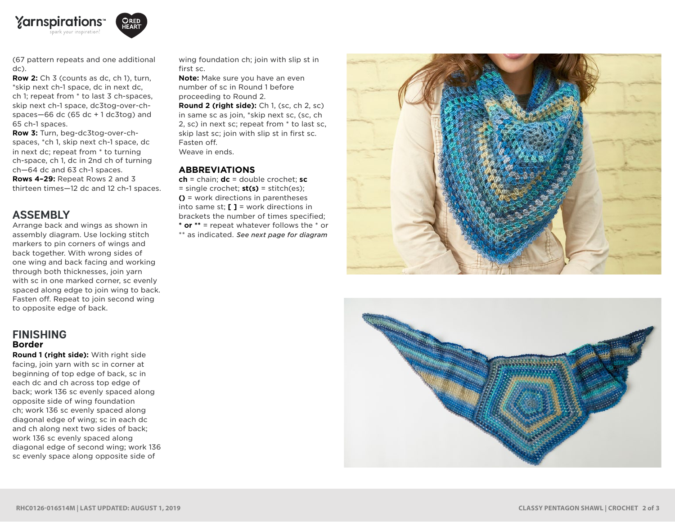



(67 pattern repeats and one additional dc).

**Row 2:** Ch 3 (counts as dc, ch 1), turn, \*skip next ch-1 space, dc in next dc, ch 1; repeat from \* to last 3 ch-spaces, skip next ch-1 space, dc3tog-over-chspaces $-66$  dc (65 dc  $+1$  dc3tog) and 65 ch-1 spaces.

**Row 3:** Turn, beg-dc3tog-over-chspaces, \*ch 1, skip next ch-1 space, dc in next dc; repeat from \* to turning ch-space, ch 1, dc in 2nd ch of turning ch—64 dc and 63 ch-1 spaces. **Rows 4–29:** Repeat Rows 2 and 3 thirteen times—12 dc and 12 ch-1 spaces.

# **ASSEMBLY**

Arrange back and wings as shown in assembly diagram. Use locking stitch markers to pin corners of wings and back together. With wrong sides of one wing and back facing and working through both thicknesses, join yarn with sc in one marked corner, sc evenly spaced along edge to join wing to back. Fasten off. Repeat to join second wing to opposite edge of back.

## **FINISHING Border**

**Round 1 (right side):** With right side facing, join yarn with sc in corner at beginning of top edge of back, sc in each dc and ch across top edge of back; work 136 sc evenly spaced along opposite side of wing foundation ch; work 136 sc evenly spaced along diagonal edge of wing; sc in each dc and ch along next two sides of back; work 136 sc evenly spaced along diagonal edge of second wing; work 136 sc evenly space along opposite side of

wing foundation ch; join with slip st in first sc.

**Note:** Make sure you have an even number of sc in Round 1 before proceeding to Round 2.

**Round 2 (right side):** Ch 1, (sc, ch 2, sc) in same sc as join, \*skip next sc, (sc, ch 2, sc) in next sc; repeat from \* to last sc, skip last sc; join with slip st in first sc. Fasten off. Weave in ends.

### **ABBREVIATIONS**

**ch** = chain; **dc** = double crochet; **sc** = single crochet; **st(s)** = stitch(es); **()** = work directions in parentheses into same st; **[ ]** = work directions in brackets the number of times specified; **\* or \*\*** = repeat whatever follows the \* or \*\* as indicated. *See next page for diagram*